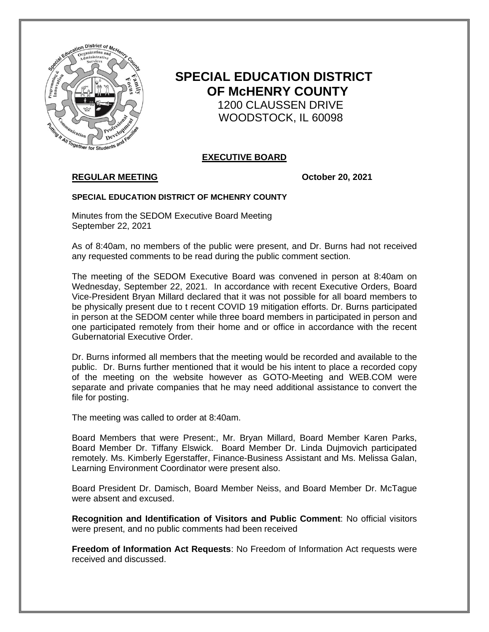

# **SPECIAL EDUCATION DISTRICT OF McHENRY COUNTY** 1200 CLAUSSEN DRIVE WOODSTOCK, IL 60098

## **EXECUTIVE BOARD**

## **REGULAR MEETING October 20, 2021**

#### **SPECIAL EDUCATION DISTRICT OF MCHENRY COUNTY**

Minutes from the SEDOM Executive Board Meeting September 22, 2021

As of 8:40am, no members of the public were present, and Dr. Burns had not received any requested comments to be read during the public comment section.

The meeting of the SEDOM Executive Board was convened in person at 8:40am on Wednesday, September 22, 2021. In accordance with recent Executive Orders, Board Vice-President Bryan Millard declared that it was not possible for all board members to be physically present due to t recent COVID 19 mitigation efforts. Dr. Burns participated in person at the SEDOM center while three board members in participated in person and one participated remotely from their home and or office in accordance with the recent Gubernatorial Executive Order.

Dr. Burns informed all members that the meeting would be recorded and available to the public. Dr. Burns further mentioned that it would be his intent to place a recorded copy of the meeting on the website however as GOTO-Meeting and WEB.COM were separate and private companies that he may need additional assistance to convert the file for posting.

The meeting was called to order at 8:40am.

Board Members that were Present:, Mr. Bryan Millard, Board Member Karen Parks, Board Member Dr. Tiffany Elswick. Board Member Dr. Linda Dujmovich participated remotely. Ms. Kimberly Egerstaffer, Finance-Business Assistant and Ms. Melissa Galan, Learning Environment Coordinator were present also.

Board President Dr. Damisch, Board Member Neiss, and Board Member Dr. McTague were absent and excused.

**Recognition and Identification of Visitors and Public Comment**: No official visitors were present, and no public comments had been received

**Freedom of Information Act Requests**: No Freedom of Information Act requests were received and discussed.